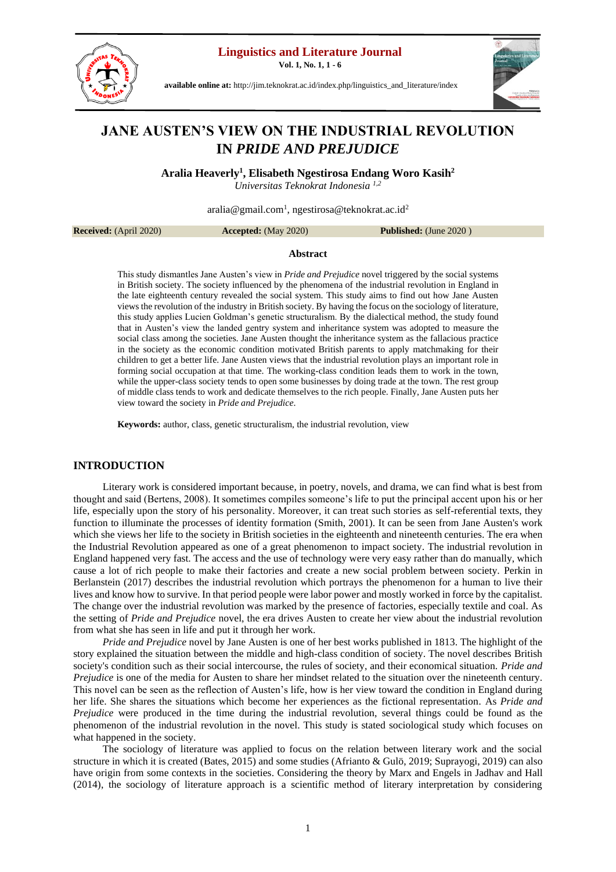**Linguistics and Literature Journal**

**Vol. 1, No. 1, 1 - 6**



**available online at:** [http://jim.teknokrat.ac.id/index.php/linguistics\\_and\\_literature/index](http://jim.teknokrat.ac.id/index.php/linguistics_and_literature/index)



# **JANE AUSTEN'S VIEW ON THE INDUSTRIAL REVOLUTION IN** *PRIDE AND PREJUDICE*

**Aralia Heaverly 1 , Elisabeth Ngestirosa Endang Woro Kasih<sup>2</sup>**

*Universitas Teknokrat Indonesia 1,2*

[aralia@gmail.com](mailto:aralia@gmail.com1)<sup>1</sup>[, ngestirosa@teknokrat.ac.id](mailto:ngestirosa@teknokrat.ac.id)<sup>2</sup>

**Received:** (April 2020) **Accepted:** (May 2020) **Published:** (June 2020 )

## **Abstract**

This study dismantles Jane Austen's view in *Pride and Prejudice* novel triggered by the social systems in British society. The society influenced by the phenomena of the industrial revolution in England in the late eighteenth century revealed the social system. This study aims to find out how Jane Austen views the revolution of the industry in British society. By having the focus on the sociology of literature, this study applies Lucien Goldman's genetic structuralism. By the dialectical method, the study found that in Austen's view the landed gentry system and inheritance system was adopted to measure the social class among the societies. Jane Austen thought the inheritance system as the fallacious practice in the society as the economic condition motivated British parents to apply matchmaking for their children to get a better life. Jane Austen views that the industrial revolution plays an important role in forming social occupation at that time. The working-class condition leads them to work in the town, while the upper-class society tends to open some businesses by doing trade at the town. The rest group of middle class tends to work and dedicate themselves to the rich people. Finally, Jane Austen puts her view toward the society in *Pride and Prejudice*.

**Keywords:** author, class, genetic structuralism, the industrial revolution, view

### **INTRODUCTION**

Literary work is considered important because, in poetry, novels, and drama, we can find what is best from thought and said (Bertens, 2008). It sometimes compiles someone's life to put the principal accent upon his or her life, especially upon the story of his personality. Moreover, it can treat such stories as self-referential texts, they function to illuminate the processes of identity formation (Smith, 2001). It can be seen from Jane Austen's work which she views her life to the society in British societies in the eighteenth and nineteenth centuries. The era when the Industrial Revolution appeared as one of a great phenomenon to impact society. The industrial revolution in England happened very fast. The access and the use of technology were very easy rather than do manually, which cause a lot of rich people to make their factories and create a new social problem between society. Perkin in Berlanstein (2017) describes the industrial revolution which portrays the phenomenon for a human to live their lives and know how to survive. In that period people were labor power and mostly worked in force by the capitalist. The change over the industrial revolution was marked by the presence of factories, especially textile and coal. As the setting of *Pride and Prejudice* novel, the era drives Austen to create her view about the industrial revolution from what she has seen in life and put it through her work.

*Pride and Prejudice* novel by Jane Austen is one of her best works published in 1813. The highlight of the story explained the situation between the middle and high-class condition of society. The novel describes British society's condition such as their social intercourse, the rules of society, and their economical situation. *Pride and Prejudice* is one of the media for Austen to share her mindset related to the situation over the nineteenth century. This novel can be seen as the reflection of Austen's life, how is her view toward the condition in England during her life. She shares the situations which become her experiences as the fictional representation*.* As *Pride and Prejudice* were produced in the time during the industrial revolution, several things could be found as the phenomenon of the industrial revolution in the novel. This study is stated sociological study which focuses on what happened in the society.

The sociology of literature was applied to focus on the relation between literary work and the social structure in which it is created (Bates, 2015) and some studies (Afrianto & Gulö, 2019; Suprayogi, 2019) can also have origin from some contexts in the societies. Considering the theory by Marx and Engels in Jadhav and Hall (2014), the sociology of literature approach is a scientific method of literary interpretation by considering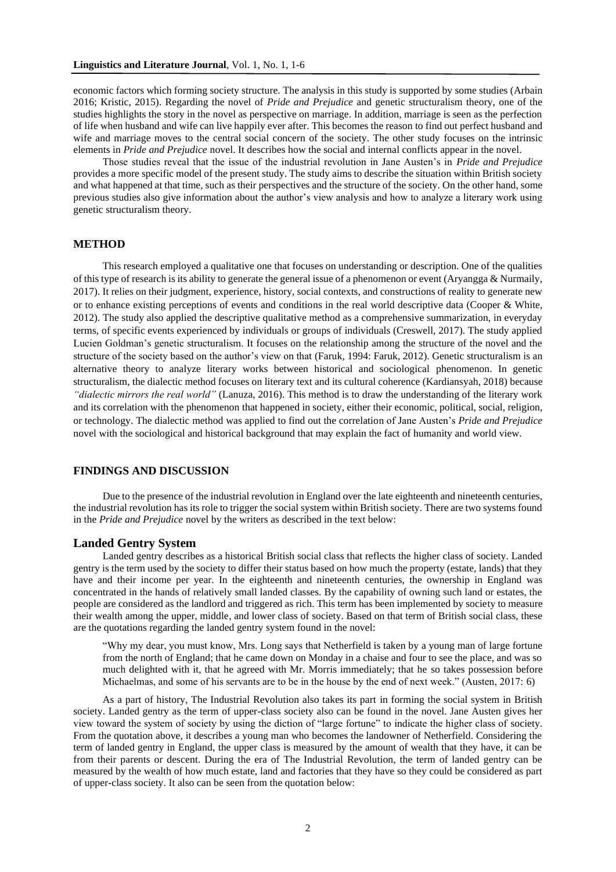economic factors which forming society structure. The analysis in this study is supported by some studies (Arbain 2016; Kristic, 2015). Regarding the novel of *Pride and Prejudice* and genetic structuralism theory, one of the studies highlights the story in the novel as perspective on marriage. In addition, marriage is seen as the perfection of life when husband and wife can live happily ever after. This becomes the reason to find out perfect husband and wife and marriage moves to the central social concern of the society. The other study focuses on the intrinsic elements in *Pride and Prejudice* novel. It describes how the social and internal conflicts appear in the novel.

Those studies reveal that the issue of the industrial revolution in Jane Austen's in *Pride and Prejudice* provides a more specific model of the present study. The study aims to describe the situation within British society and what happened at that time, such as their perspectives and the structure of the society. On the other hand, some previous studies also give information about the author's view analysis and how to analyze a literary work using genetic structuralism theory.

## **METHOD**

This research employed a qualitative one that focuses on understanding or description. One of the qualities of this type of research is its ability to generate the general issue of a phenomenon or event (Aryangga & Nurmaily, 2017). It relies on their judgment, experience, history, social contexts, and constructions of reality to generate new or to enhance existing perceptions of events and conditions in the real world descriptive data (Cooper & White, 2012). The study also applied the descriptive qualitative method as a comprehensive summarization, in everyday terms, of specific events experienced by individuals or groups of individuals (Creswell, 2017). The study applied Lucien Goldman's genetic structuralism. It focuses on the relationship among the structure of the novel and the structure of the society based on the author's view on that (Faruk, 1994: Faruk, 2012). Genetic structuralism is an alternative theory to analyze literary works between historical and sociological phenomenon. In genetic structuralism, the dialectic method focuses on literary text and its cultural coherence (Kardiansyah, 2018) because *"dialectic mirrors the real world"* (Lanuza, 2016). This method is to draw the understanding of the literary work and its correlation with the phenomenon that happened in society, either their economic, political, social, religion, or technology. The dialectic method was applied to find out the correlation of Jane Austen's *Pride and Prejudice* novel with the sociological and historical background that may explain the fact of humanity and world view.

## **FINDINGS AND DISCUSSION**

Due to the presence of the industrial revolution in England over the late eighteenth and nineteenth centuries, the industrial revolution has its role to trigger the social system within British society. There are two systems found in the *Pride and Prejudice* novel by the writers as described in the text below:

#### **Landed Gentry System**

Landed gentry describes as a historical British social class that reflects the higher class of society. Landed gentry is the term used by the society to differ their status based on how much the property (estate, lands) that they have and their income per year. In the eighteenth and nineteenth centuries, the ownership in England was concentrated in the hands of relatively small landed classes. By the capability of owning such land or estates, the people are considered as the landlord and triggered as rich. This term has been implemented by society to measure their wealth among the upper, middle, and lower class of society. Based on that term of British social class, these are the quotations regarding the landed gentry system found in the novel:

"Why my dear, you must know, Mrs. Long says that Netherfield is taken by a young man of large fortune from the north of England; that he came down on Monday in a chaise and four to see the place, and was so much delighted with it, that he agreed with Mr. Morris immediately; that he so takes possession before Michaelmas, and some of his servants are to be in the house by the end of next week." (Austen, 2017: 6)

As a part of history, The Industrial Revolution also takes its part in forming the social system in British society. Landed gentry as the term of upper-class society also can be found in the novel. Jane Austen gives her view toward the system of society by using the diction of "large fortune" to indicate the higher class of society. From the quotation above, it describes a young man who becomes the landowner of Netherfield. Considering the term of landed gentry in England, the upper class is measured by the amount of wealth that they have, it can be from their parents or descent. During the era of The Industrial Revolution, the term of landed gentry can be measured by the wealth of how much estate, land and factories that they have so they could be considered as part of upper-class society. It also can be seen from the quotation below: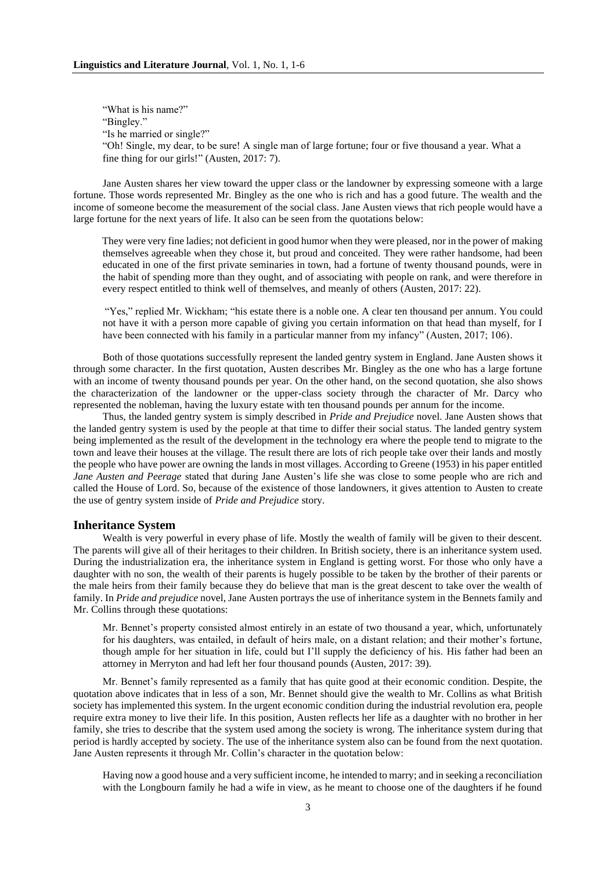"What is his name?" "Bingley." "Is he married or single?" "Oh! Single, my dear, to be sure! A single man of large fortune; four or five thousand a year. What a fine thing for our girls!" (Austen, 2017: 7).

Jane Austen shares her view toward the upper class or the landowner by expressing someone with a large fortune. Those words represented Mr. Bingley as the one who is rich and has a good future. The wealth and the income of someone become the measurement of the social class. Jane Austen views that rich people would have a large fortune for the next years of life. It also can be seen from the quotations below:

They were very fine ladies; not deficient in good humor when they were pleased, nor in the power of making themselves agreeable when they chose it, but proud and conceited. They were rather handsome, had been educated in one of the first private seminaries in town, had a fortune of twenty thousand pounds, were in the habit of spending more than they ought, and of associating with people on rank, and were therefore in every respect entitled to think well of themselves, and meanly of others (Austen, 2017: 22).

"Yes," replied Mr. Wickham; "his estate there is a noble one. A clear ten thousand per annum. You could not have it with a person more capable of giving you certain information on that head than myself, for I have been connected with his family in a particular manner from my infancy" (Austen, 2017; 106).

Both of those quotations successfully represent the landed gentry system in England. Jane Austen shows it through some character. In the first quotation, Austen describes Mr. Bingley as the one who has a large fortune with an income of twenty thousand pounds per year. On the other hand, on the second quotation, she also shows the characterization of the landowner or the upper-class society through the character of Mr. Darcy who represented the nobleman, having the luxury estate with ten thousand pounds per annum for the income.

Thus, the landed gentry system is simply described in *Pride and Prejudice* novel. Jane Austen shows that the landed gentry system is used by the people at that time to differ their social status. The landed gentry system being implemented as the result of the development in the technology era where the people tend to migrate to the town and leave their houses at the village. The result there are lots of rich people take over their lands and mostly the people who have power are owning the lands in most villages. According to Greene (1953) in his paper entitled *Jane Austen and Peerage* stated that during Jane Austen's life she was close to some people who are rich and called the House of Lord. So, because of the existence of those landowners, it gives attention to Austen to create the use of gentry system inside of *Pride and Prejudice* story.

## **Inheritance System**

Wealth is very powerful in every phase of life. Mostly the wealth of family will be given to their descent. The parents will give all of their heritages to their children. In British society, there is an inheritance system used. During the industrialization era, the inheritance system in England is getting worst. For those who only have a daughter with no son, the wealth of their parents is hugely possible to be taken by the brother of their parents or the male heirs from their family because they do believe that man is the great descent to take over the wealth of family. In *Pride and prejudice* novel, Jane Austen portrays the use of inheritance system in the Bennets family and Mr. Collins through these quotations:

Mr. Bennet's property consisted almost entirely in an estate of two thousand a year, which, unfortunately for his daughters, was entailed, in default of heirs male, on a distant relation; and their mother's fortune, though ample for her situation in life, could but I'll supply the deficiency of his. His father had been an attorney in Merryton and had left her four thousand pounds (Austen, 2017: 39).

Mr. Bennet's family represented as a family that has quite good at their economic condition. Despite, the quotation above indicates that in less of a son, Mr. Bennet should give the wealth to Mr. Collins as what British society has implemented this system. In the urgent economic condition during the industrial revolution era, people require extra money to live their life. In this position, Austen reflects her life as a daughter with no brother in her family, she tries to describe that the system used among the society is wrong. The inheritance system during that period is hardly accepted by society. The use of the inheritance system also can be found from the next quotation. Jane Austen represents it through Mr. Collin's character in the quotation below:

Having now a good house and a very sufficient income, he intended to marry; and in seeking a reconciliation with the Longbourn family he had a wife in view, as he meant to choose one of the daughters if he found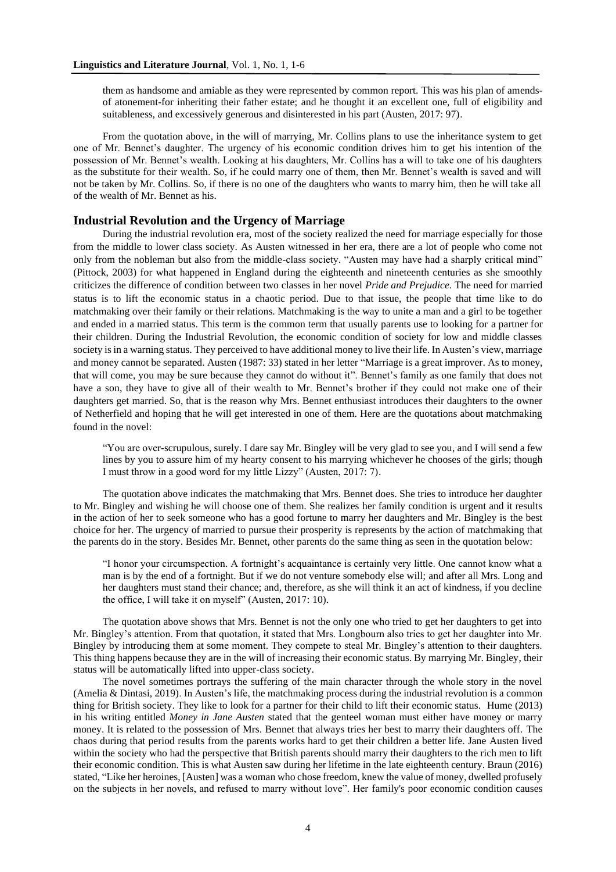them as handsome and amiable as they were represented by common report. This was his plan of amendsof atonement-for inheriting their father estate; and he thought it an excellent one, full of eligibility and suitableness, and excessively generous and disinterested in his part (Austen, 2017: 97).

From the quotation above, in the will of marrying, Mr. Collins plans to use the inheritance system to get one of Mr. Bennet's daughter. The urgency of his economic condition drives him to get his intention of the possession of Mr. Bennet's wealth. Looking at his daughters, Mr. Collins has a will to take one of his daughters as the substitute for their wealth. So, if he could marry one of them, then Mr. Bennet's wealth is saved and will not be taken by Mr. Collins. So, if there is no one of the daughters who wants to marry him, then he will take all of the wealth of Mr. Bennet as his.

## **Industrial Revolution and the Urgency of Marriage**

During the industrial revolution era, most of the society realized the need for marriage especially for those from the middle to lower class society. As Austen witnessed in her era, there are a lot of people who come not only from the nobleman but also from the middle-class society. "Austen may have had a sharply critical mind" (Pittock, 2003) for what happened in England during the eighteenth and nineteenth centuries as she smoothly criticizes the difference of condition between two classes in her novel *Pride and Prejudice*. The need for married status is to lift the economic status in a chaotic period. Due to that issue, the people that time like to do matchmaking over their family or their relations. Matchmaking is the way to unite a man and a girl to be together and ended in a married status. This term is the common term that usually parents use to looking for a partner for their children. During the Industrial Revolution, the economic condition of society for low and middle classes society is in a warning status. They perceived to have additional money to live their life. In Austen's view, marriage and money cannot be separated. Austen (1987: 33) stated in her letter "Marriage is a great improver. As to money, that will come, you may be sure because they cannot do without it". Bennet's family as one family that does not have a son, they have to give all of their wealth to Mr. Bennet's brother if they could not make one of their daughters get married. So, that is the reason why Mrs. Bennet enthusiast introduces their daughters to the owner of Netherfield and hoping that he will get interested in one of them. Here are the quotations about matchmaking found in the novel:

"You are over-scrupulous, surely. I dare say Mr. Bingley will be very glad to see you, and I will send a few lines by you to assure him of my hearty consent to his marrying whichever he chooses of the girls; though I must throw in a good word for my little Lizzy" (Austen, 2017: 7).

The quotation above indicates the matchmaking that Mrs. Bennet does. She tries to introduce her daughter to Mr. Bingley and wishing he will choose one of them. She realizes her family condition is urgent and it results in the action of her to seek someone who has a good fortune to marry her daughters and Mr. Bingley is the best choice for her. The urgency of married to pursue their prosperity is represents by the action of matchmaking that the parents do in the story. Besides Mr. Bennet, other parents do the same thing as seen in the quotation below:

"I honor your circumspection. A fortnight's acquaintance is certainly very little. One cannot know what a man is by the end of a fortnight. But if we do not venture somebody else will; and after all Mrs. Long and her daughters must stand their chance; and, therefore, as she will think it an act of kindness, if you decline the office, I will take it on myself" (Austen, 2017: 10).

The quotation above shows that Mrs. Bennet is not the only one who tried to get her daughters to get into Mr. Bingley's attention. From that quotation, it stated that Mrs. Longbourn also tries to get her daughter into Mr. Bingley by introducing them at some moment. They compete to steal Mr. Bingley's attention to their daughters. This thing happens because they are in the will of increasing their economic status. By marrying Mr. Bingley, their status will be automatically lifted into upper-class society.

The novel sometimes portrays the suffering of the main character through the whole story in the novel (Amelia & Dintasi, 2019). In Austen's life, the matchmaking process during the industrial revolution is a common thing for British society. They like to look for a partner for their child to lift their economic status. Hume (2013) in his writing entitled *Money in Jane Austen* stated that the genteel woman must either have money or marry money. It is related to the possession of Mrs. Bennet that always tries her best to marry their daughters off. The chaos during that period results from the parents works hard to get their children a better life. Jane Austen lived within the society who had the perspective that British parents should marry their daughters to the rich men to lift their economic condition. This is what Austen saw during her lifetime in the late eighteenth century. Braun (2016) stated, "Like her heroines, [Austen] was a woman who chose freedom, knew the value of money, dwelled profusely on the subjects in her novels, and refused to marry without love". Her family's poor economic condition causes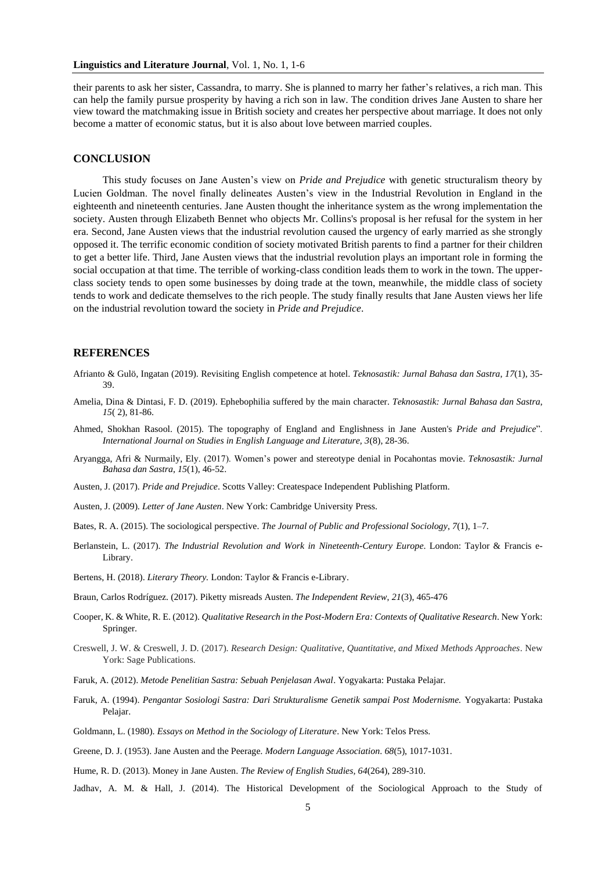their parents to ask her sister, Cassandra, to marry. She is planned to marry her father's relatives, a rich man. This can help the family pursue prosperity by having a rich son in law. The condition drives Jane Austen to share her view toward the matchmaking issue in British society and creates her perspective about marriage. It does not only become a matter of economic status, but it is also about love between married couples.

#### **CONCLUSION**

This study focuses on Jane Austen's view on *Pride and Prejudice* with genetic structuralism theory by Lucien Goldman. The novel finally delineates Austen's view in the Industrial Revolution in England in the eighteenth and nineteenth centuries. Jane Austen thought the inheritance system as the wrong implementation the society. Austen through Elizabeth Bennet who objects Mr. Collins's proposal is her refusal for the system in her era. Second, Jane Austen views that the industrial revolution caused the urgency of early married as she strongly opposed it. The terrific economic condition of society motivated British parents to find a partner for their children to get a better life. Third, Jane Austen views that the industrial revolution plays an important role in forming the social occupation at that time. The terrible of working-class condition leads them to work in the town. The upperclass society tends to open some businesses by doing trade at the town, meanwhile, the middle class of society tends to work and dedicate themselves to the rich people. The study finally results that Jane Austen views her life on the industrial revolution toward the society in *Pride and Prejudice*.

## **REFERENCES**

- Afrianto & Gulö, Ingatan (2019). Revisiting English competence at hotel. *Teknosastik: Jurnal Bahasa dan Sastra*, *17*(1), 35- 39.
- Amelia, Dina & Dintasi, F. D. (2019). Ephebophilia suffered by the main character. *Teknosastik: Jurnal Bahasa dan Sastra*, *15*( 2), 81-86.
- Ahmed, Shokhan Rasool. (2015). The topography of England and Englishness in Jane Austen's *Pride and Prejudice*". *International Journal on Studies in English Language and Literature, 3*(8), 28-36.
- Aryangga, Afri & Nurmaily, Ely. (2017). Women's power and stereotype denial in Pocahontas movie. *Teknosastik: Jurnal Bahasa dan Sastra*, *15*(1), 46-52.
- Austen, J. (2017). *Pride and Prejudice*. Scotts Valley: Createspace Independent Publishing Platform.
- Austen, J. (2009). *Letter of Jane Austen*. New York: Cambridge University Press.
- Bates, R. A. (2015). The sociological perspective. *The Journal of Public and Professional Sociology*, *7*(1), 1–7.
- Berlanstein, L. (2017). *The Industrial Revolution and Work in Nineteenth-Century Europe*. London: Taylor & Francis e-Library.
- Bertens, H. (2018). *Literary Theory.* London: Taylor & Francis e-Library.
- Braun, Carlos Rodríguez. (2017). Piketty misreads Austen. *The Independent Review*, *21*(3), 465-476
- Cooper, K. & White, R. E. (2012). *Qualitative Research in the Post-Modern Era: Contexts of Qualitative Research*. New York: Springer.
- Creswell, J. W. & Creswell, J. D. (2017). *Research Design: Qualitative, Quantitative, and Mixed Methods Approaches*. New York: Sage Publications.
- Faruk, A. (2012). *Metode Penelitian Sastra: Sebuah Penjelasan Awal*. Yogyakarta: Pustaka Pelajar.
- Faruk, A. (1994). *Pengantar Sosiologi Sastra: Dari Strukturalisme Genetik sampai Post Modernisme.* Yogyakarta: Pustaka Pelajar.
- Goldmann, L. (1980). *Essays on Method in the Sociology of Literature*. New York: Telos Press.
- Greene, D. J. (1953). Jane Austen and the Peerage*. Modern Language Association*. *68*(5), 1017-1031.
- Hume, R. D. (2013). Money in Jane Austen. *The Review of English Studies, 64*(264), 289-310.
- Jadhav, A. M. & Hall, J. (2014). The Historical Development of the Sociological Approach to the Study of